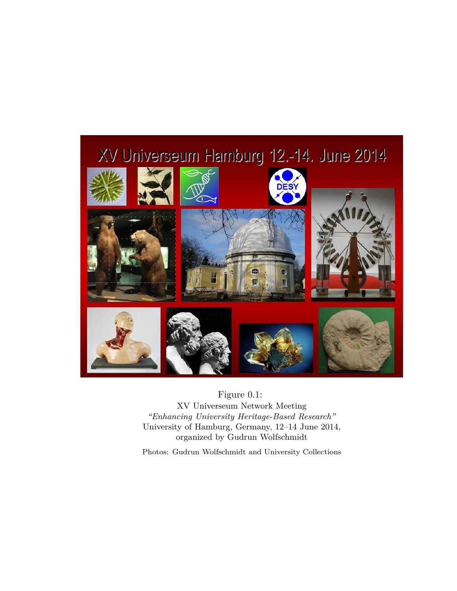

### Figure 0.1:

XV Universeum Network Meeting *"Enhancing University Heritage-Based Research"* University of Hamburg, Germany, 12–14 June 2014, organized by Gudrun Wolfschmidt

Photos: Gudrun Wolfschmidt and University Collections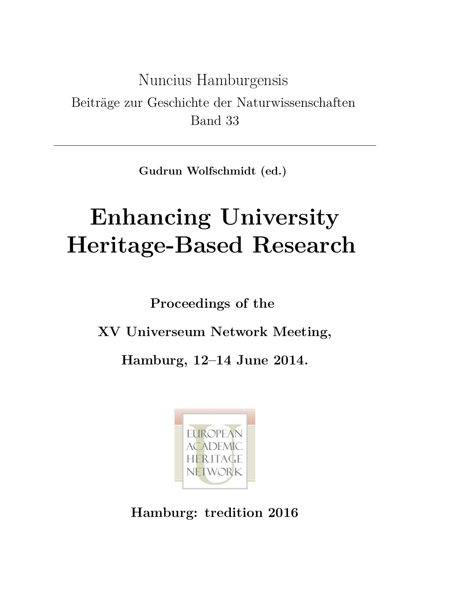Nuncius Hamburgensis Beiträge zur Geschichte der Naturwissenschaften Band 33

**Gudrun Wolfschmidt (ed.)**

# **Enhancing University Heritage-Based Research**

**Proceedings of the**

**XV Universeum Network Meeting,**

**Hamburg, 12–14 June 2014.**



**Hamburg: tredition 2016**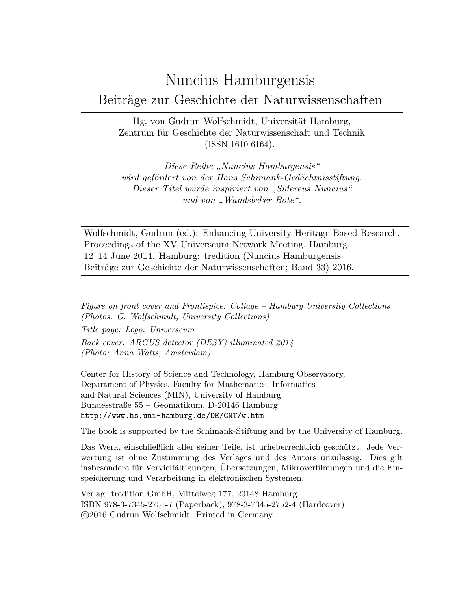## Nuncius Hamburgensis Beiträge zur Geschichte der Naturwissenschaften

Hg. von Gudrun Wolfschmidt, Universität Hamburg, Zentrum für Geschichte der Naturwissenschaft und Technik (ISSN 1610-6164).

*Diese Reihe "Nuncius Hamburgensis" wird gefördert von der Hans Schimank-Gedächtnisstiftung. Dieser Titel wurde inspiriert von "Sidereus Nuncius" und von "Wandsbeker Bote".*

Wolfschmidt, Gudrun (ed.): Enhancing University Heritage-Based Research. Proceedings of the XV Universeum Network Meeting, Hamburg, 12–14 June 2014. Hamburg: tredition (Nuncius Hamburgensis – Beiträge zur Geschichte der Naturwissenschaften; Band 33) 2016.

*Figure on front cover and Frontispice: Collage – Hamburg University Collections (Photos: G. Wolfschmidt, University Collections)*

*Title page: Logo: Universeum Back cover: ARGUS detector (DESY) illuminated 2014 (Photo: Anna Watts, Amsterdam)*

Center for History of Science and Technology, Hamburg Observatory, Department of Physics, Faculty for Mathematics, Informatics and Natural Sciences (MIN), University of Hamburg Bundesstraße 55 – Geomatikum, D-20146 Hamburg http://www.hs.uni-hamburg.de/DE/GNT/w.htm

The book is supported by the Schimank-Stiftung and by the University of Hamburg.

Das Werk, einschließlich aller seiner Teile, ist urheberrechtlich geschützt. Jede Verwertung ist ohne Zustimmung des Verlages und des Autors unzulässig. Dies gilt insbesondere für Vervielfältigungen, Übersetzungen, Mikroverfilmungen und die Einspeicherung und Verarbeitung in elektronischen Systemen.

Verlag: tredition GmbH, Mittelweg 177, 20148 Hamburg ISBN 978-3-7345-2751-7 (Paperback), 978-3-7345-2752-4 (Hardcover) c 2016 Gudrun Wolfschmidt. Printed in Germany.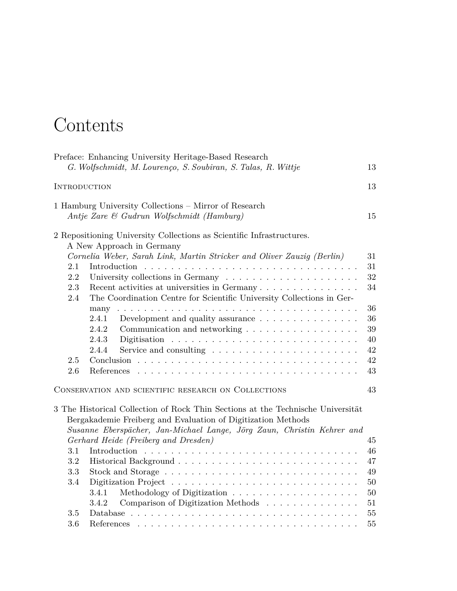## Contents

|                     | Preface: Enhancing University Heritage-Based Research                           |    |
|---------------------|---------------------------------------------------------------------------------|----|
|                     | G. Wolfschmidt, M. Lourenço, S. Soubiran, S. Talas, R. Wittje                   | 13 |
|                     |                                                                                 | 13 |
| <b>INTRODUCTION</b> |                                                                                 |    |
|                     | 1 Hamburg University Collections – Mirror of Research                           |    |
|                     | Antje Zare & Gudrun Wolfschmidt (Hamburg)                                       | 15 |
|                     |                                                                                 |    |
|                     | 2 Repositioning University Collections as Scientific Infrastructures.           |    |
|                     | A New Approach in Germany                                                       |    |
|                     | Cornelia Weber, Sarah Link, Martin Stricker and Oliver Zauzig (Berlin)          | 31 |
| 2.1                 |                                                                                 | 31 |
| 2.2                 |                                                                                 | 32 |
| 2.3                 | Recent activities at universities in Germany                                    | 34 |
| 2.4                 | The Coordination Centre for Scientific University Collections in Ger-           |    |
|                     |                                                                                 | 36 |
|                     | 2.4.1<br>Development and quality assurance $\ldots \ldots \ldots \ldots \ldots$ | 36 |
|                     | 2.4.2<br>Communication and networking                                           | 39 |
|                     | 2.4.3                                                                           | 40 |
|                     | 2.4.4                                                                           | 42 |
| 2.5                 |                                                                                 | 42 |
| 2.6                 |                                                                                 | 43 |
|                     |                                                                                 |    |
|                     | CONSERVATION AND SCIENTIFIC RESEARCH ON COLLECTIONS                             | 43 |
|                     |                                                                                 |    |
|                     | 3 The Historical Collection of Rock Thin Sections at the Technische Universität |    |
|                     | Bergakademie Freiberg and Evaluation of Digitization Methods                    |    |
|                     | Susanne Eberspächer, Jan-Michael Lange, Jörg Zaun, Christin Kehrer and          |    |
|                     | Gerhard Heide (Freiberg and Dresden)                                            | 45 |
| 3.1                 |                                                                                 | 46 |
| 3.2                 |                                                                                 | 47 |
| 3.3                 |                                                                                 | 49 |
| 3.4                 |                                                                                 | 50 |
|                     | 3.4.1                                                                           | 50 |
|                     | Comparison of Digitization Methods<br>3.4.2                                     | 51 |
| 3.5                 |                                                                                 | 55 |
| 3.6                 |                                                                                 | 55 |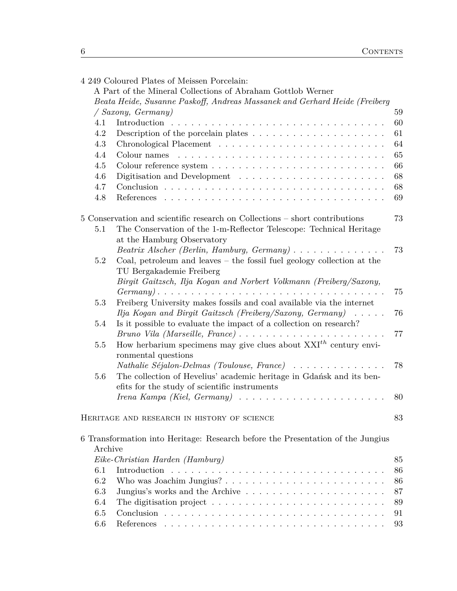|         | 4 249 Coloured Plates of Meissen Porcelain:                                                       |    |
|---------|---------------------------------------------------------------------------------------------------|----|
|         | A Part of the Mineral Collections of Abraham Gottlob Werner                                       |    |
|         | Beata Heide, Susanne Paskoff, Andreas Massanek and Gerhard Heide (Freiberg                        |    |
|         | / Saxony, Germany)                                                                                | 59 |
| 4.1     |                                                                                                   | 60 |
| 4.2     | Description of the porcelain plates $\dots \dots \dots \dots \dots \dots \dots$                   | 61 |
| 4.3     |                                                                                                   | 64 |
| 4.4     |                                                                                                   | 65 |
| 4.5     |                                                                                                   | 66 |
| 4.6     |                                                                                                   | 68 |
| 4.7     |                                                                                                   | 68 |
| 4.8     |                                                                                                   | 69 |
|         | 5 Conservation and scientific research on Collections – short contributions                       | 73 |
| 5.1     | The Conservation of the 1-m-Reflector Telescope: Technical Heritage<br>at the Hamburg Observatory |    |
|         | Beatrix Alscher (Berlin, Hamburg, Germany)                                                        | 73 |
| $5.2\,$ | Coal, petroleum and leaves $-$ the fossil fuel geology collection at the                          |    |
|         | TU Bergakademie Freiberg                                                                          |    |
|         | Birgit Gaitzsch, Ilja Kogan and Norbert Volkmann (Freiberg/Saxony,                                |    |
|         |                                                                                                   | 75 |
| $5.3\,$ | Freiberg University makes fossils and coal available via the internet                             |    |
|         | Ilja Kogan and Birgit Gaitzsch (Freiberg/Saxony, Germany) $\ldots$ .                              | 76 |
| 5.4     | Is it possible to evaluate the impact of a collection on research?                                |    |
|         | Bruno Vila (Marseille, France)                                                                    | 77 |
| 5.5     | How herbarium specimens may give clues about $XXI^{th}$ century envi-                             |    |
|         | ronmental questions                                                                               |    |
|         | Nathalie Séjalon-Delmas (Toulouse, France)                                                        | 78 |
| 5.6     | The collection of Hevelius' academic heritage in Gdańsk and its ben-                              |    |
|         | efits for the study of scientific instruments                                                     |    |
|         |                                                                                                   | 80 |
|         | HERITAGE AND RESEARCH IN HISTORY OF SCIENCE                                                       | 83 |
|         | 6 Transformation into Heritage: Research before the Presentation of the Jungius                   |    |
| Archive |                                                                                                   |    |
|         | Eike-Christian Harden (Hamburg)                                                                   | 85 |
| 6.1     |                                                                                                   | 86 |
| 6.2     |                                                                                                   | 86 |
| 6.3     |                                                                                                   | 87 |
| 6.4     | The digitisation project $\ldots \ldots \ldots \ldots \ldots \ldots \ldots \ldots$                | 89 |
| 6.5     |                                                                                                   | 91 |
| 6.6     |                                                                                                   | 93 |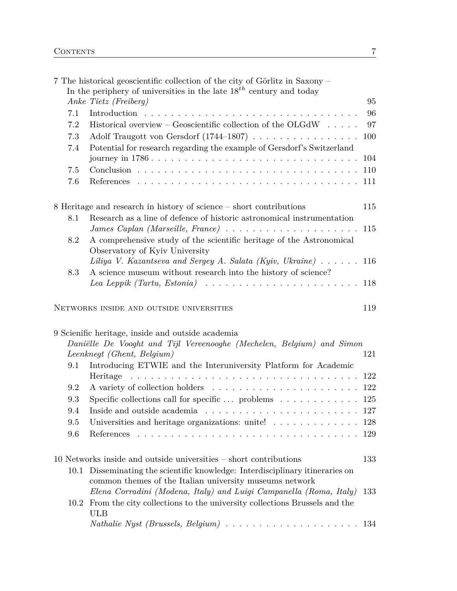|      | 7 The historical geoscientific collection of the city of Görlitz in Saxony -<br>In the periphery of universities in the late $18^{th}$ century and today |     |
|------|----------------------------------------------------------------------------------------------------------------------------------------------------------|-----|
|      | Anke Tietz (Freiberg)                                                                                                                                    | 95  |
| 7.1  | Introduction                                                                                                                                             | 96  |
| 7.2  | Historical overview – Geoscientific collection of the OLGdW $\ldots$ .                                                                                   | 97  |
| 7.3  | Adolf Traugott von Gersdorf (1744–1807)                                                                                                                  | 100 |
| 7.4  | Potential for research regarding the example of Gersdorf's Switzerland                                                                                   |     |
|      |                                                                                                                                                          | 104 |
| 7.5  |                                                                                                                                                          | 110 |
| 7.6  |                                                                                                                                                          | 111 |
|      | 8 Heritage and research in history of science - short contributions                                                                                      | 115 |
| 8.1  | Research as a line of defence of historic astronomical instrumentation                                                                                   | 115 |
| 8.2  | A comprehensive study of the scientific heritage of the Astronomical<br>Observatory of Kyiv University                                                   |     |
|      | Liliya V. Kazantseva and Sergey A. Salata (Kyiv, Ukraine) $\ldots \ldots$                                                                                | 116 |
| 8.3  | A science museum without research into the history of science?                                                                                           |     |
|      | Lea Leppik (Tartu, Estonia) $\ldots \ldots \ldots \ldots \ldots \ldots \ldots \ldots$                                                                    | 118 |
|      | NETWORKS INSIDE AND OUTSIDE UNIVERSITIES                                                                                                                 | 119 |
|      | 9 Scienific heritage, inside and outside academia                                                                                                        |     |
|      | Daniëlle De Vooght and Tijl Vereenooghe (Mechelen, Belgium) and Simon                                                                                    |     |
|      | Leenknegt (Ghent, Belgium)                                                                                                                               | 121 |
| 9.1  | Introducing ETWIE and the Interuniversity Platform for Academic                                                                                          |     |
|      | Heritage $\ldots \ldots \ldots \ldots \ldots \ldots \ldots \ldots \ldots \ldots \ldots$                                                                  | 122 |
| 9.2  | A variety of collection holders $\dots \dots \dots \dots \dots \dots \dots \dots \dots$                                                                  | 122 |
| 9.3  | Specific collections call for specific  problems                                                                                                         | 125 |
| 9.4  | Inside and outside academia $\ldots \ldots \ldots \ldots \ldots \ldots \ldots \ldots$                                                                    | 127 |
| 9.5  | Universities and heritage organizations: unite! $\ldots \ldots \ldots \ldots$                                                                            | 128 |
| 9.6  | References<br><b>Contract</b>                                                                                                                            | 129 |
|      | 10 Networks inside and outside universities – short contributions                                                                                        | 133 |
| 10.1 | Disseminating the scientific knowledge: Interdisciplinary itineraries on<br>common themes of the Italian university museums network                      |     |
|      | Elena Corradini (Modena, Italy) and Luigi Campanella (Roma, Italy)                                                                                       | 133 |
| 10.2 | From the city collections to the university collections Brussels and the<br>ULB                                                                          |     |
|      |                                                                                                                                                          | 134 |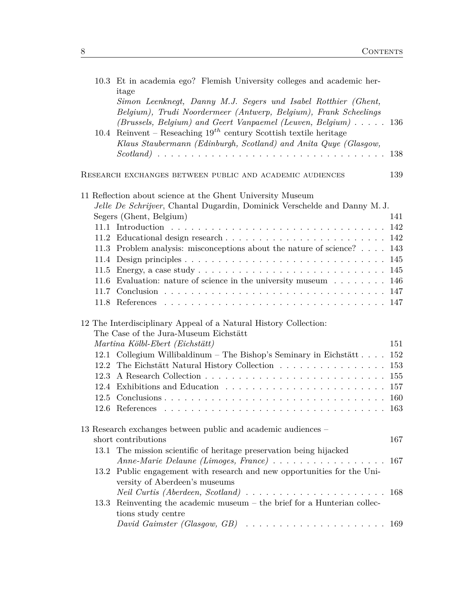|      | 10.3 Et in academia ego? Flemish University colleges and academic her-<br>itage            |     |
|------|--------------------------------------------------------------------------------------------|-----|
|      | Simon Leenknegt, Danny M.J. Segers und Isabel Rotthier (Ghent,                             |     |
|      | Belgium), Trudi Noordermeer (Antwerp, Belgium), Frank Scheelings                           |     |
|      | (Brussels, Belgium) and Geert Vanpaemel (Leuven, Belgium)                                  | 136 |
| 10.4 | Reinvent – Reseaching $19^{th}$ century Scottish textile heritage                          |     |
|      | Klaus Staubermann (Edinburgh, Scotland) and Anita Quye (Glasgow,                           |     |
|      | $\mathbf{r}$                                                                               | 138 |
|      | RESEARCH EXCHANGES BETWEEN PUBLIC AND ACADEMIC AUDIENCES                                   | 139 |
|      | 11 Reflection about science at the Ghent University Museum                                 |     |
|      | Jelle De Schrijver, Chantal Dugardin, Dominick Verschelde and Danny M.J.                   |     |
|      | Segers (Ghent, Belgium)                                                                    | 141 |
|      |                                                                                            | 142 |
|      |                                                                                            | 142 |
|      | 11.3 Problem analysis: misconceptions about the nature of science?                         | 143 |
|      |                                                                                            | 145 |
|      | 11.5 Energy, a case study $\ldots \ldots \ldots \ldots \ldots \ldots \ldots \ldots \ldots$ | 145 |
|      | 11.6 Evaluation: nature of science in the university museum 146                            | 147 |
|      |                                                                                            |     |
|      |                                                                                            |     |
|      | 12 The Interdisciplinary Appeal of a Natural History Collection:                           |     |
|      | The Case of the Jura-Museum Eichstätt                                                      |     |
|      | Martina Kölbl-Ebert (Eichstätt)                                                            | 151 |
|      | 12.1 Collegium Willibaldinum - The Bishop's Seminary in Eichstätt                          | 152 |
|      | 12.2 The Eichstätt Natural History Collection                                              | 153 |
|      |                                                                                            | 155 |
|      | 12.4 Exhibitions and Education                                                             | 157 |
|      |                                                                                            | 160 |
|      | 12.6 References                                                                            | 163 |
|      | 13 Research exchanges between public and academic audiences –                              |     |
|      | short contributions                                                                        | 167 |
|      | 13.1 The mission scientific of heritage preservation being hijacked                        |     |
|      | Anne-Marie Delaune (Limoges, France)                                                       | 167 |
|      | 13.2 Public engagement with research and new opportunities for the Uni-                    |     |
|      | versity of Aberdeen's museums                                                              |     |
|      |                                                                                            | 168 |
| 13.3 | Reinventing the academic museum $-$ the brief for a Hunterian collec-                      |     |
|      | tions study centre                                                                         |     |
|      | David Gaimster (Glasgow, GB) $\ldots \ldots \ldots \ldots \ldots \ldots \ldots \ldots 169$ |     |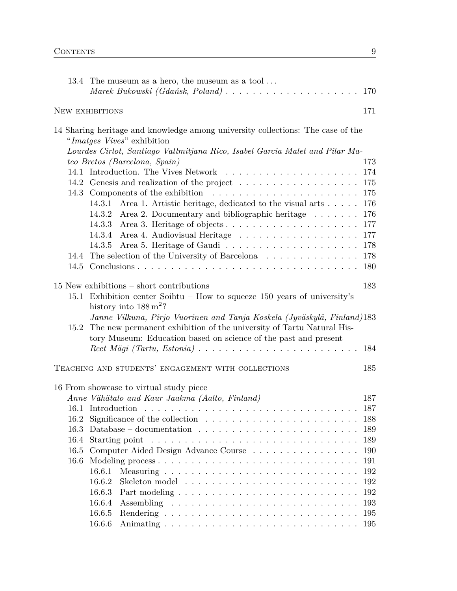|      | 13.4 The museum as a hero, the museum as a tool<br>Marek Bukowski (Gdańsk, Poland) $\ldots \ldots \ldots \ldots \ldots \ldots \ldots$ | 170 |  |  |  |  |  |
|------|---------------------------------------------------------------------------------------------------------------------------------------|-----|--|--|--|--|--|
|      | NEW EXHIBITIONS                                                                                                                       | 171 |  |  |  |  |  |
|      | 14 Sharing heritage and knowledge among university collections: The case of the                                                       |     |  |  |  |  |  |
|      | "Imatges Vives" exhibition                                                                                                            |     |  |  |  |  |  |
|      | Lourdes Cirlot, Santiago Vallmitjana Rico, Isabel Garcia Malet and Pilar Ma-                                                          |     |  |  |  |  |  |
|      | teo Bretos (Barcelona, Spain)                                                                                                         | 173 |  |  |  |  |  |
|      | 174                                                                                                                                   |     |  |  |  |  |  |
|      | 14.2 Genesis and realization of the project                                                                                           | 175 |  |  |  |  |  |
|      |                                                                                                                                       | 175 |  |  |  |  |  |
|      | Area 1. Artistic heritage, dedicated to the visual arts<br>14.3.1                                                                     | 176 |  |  |  |  |  |
|      | 14.3.2 Area 2. Documentary and bibliographic heritage                                                                                 | 176 |  |  |  |  |  |
|      | 14.3.3<br>Area 3. Heritage of objects                                                                                                 | 177 |  |  |  |  |  |
|      |                                                                                                                                       | 177 |  |  |  |  |  |
|      |                                                                                                                                       | 178 |  |  |  |  |  |
| 14.4 | The selection of the University of Barcelona $\ldots \ldots \ldots \ldots$                                                            | 178 |  |  |  |  |  |
|      |                                                                                                                                       | 180 |  |  |  |  |  |
|      | $15$ New exhibitions $-$ short contributions                                                                                          | 183 |  |  |  |  |  |
|      | 15.1 Exhibition center Soihtu - How to squeeze 150 years of university's                                                              |     |  |  |  |  |  |
|      | history into $188 \,\mathrm{m}^2$ ?                                                                                                   |     |  |  |  |  |  |
|      | Janne Vilkuna, Pirjo Vuorinen and Tanja Koskela (Jyväskylä, Finland)183                                                               |     |  |  |  |  |  |
| 15.2 | The new permanent exhibition of the university of Tartu Natural His-                                                                  |     |  |  |  |  |  |
|      | tory Museum: Education based on science of the past and present                                                                       |     |  |  |  |  |  |
|      |                                                                                                                                       | 184 |  |  |  |  |  |
|      |                                                                                                                                       |     |  |  |  |  |  |
|      | TEACHING AND STUDENTS' ENGAGEMENT WITH COLLECTIONS                                                                                    | 185 |  |  |  |  |  |
|      | 16 From showcase to virtual study piece                                                                                               |     |  |  |  |  |  |
|      | Anne Vähätalo and Kaur Jaakma (Aalto, Finland)                                                                                        | 187 |  |  |  |  |  |
| 16.1 |                                                                                                                                       | 187 |  |  |  |  |  |
|      | 16.2 Significance of the collection $\ldots \ldots \ldots \ldots \ldots \ldots \ldots \ldots$                                         | 188 |  |  |  |  |  |
|      | 16.3 Database – documentation $\ldots \ldots \ldots \ldots \ldots \ldots \ldots \ldots$                                               | 189 |  |  |  |  |  |
|      |                                                                                                                                       | 189 |  |  |  |  |  |
|      | 16.5 Computer Aided Design Advance Course                                                                                             | 190 |  |  |  |  |  |
| 16.6 |                                                                                                                                       | 191 |  |  |  |  |  |
|      | 16.6.1                                                                                                                                | 192 |  |  |  |  |  |
|      | 16.6.2                                                                                                                                | 192 |  |  |  |  |  |
|      | 16.6.3                                                                                                                                | 192 |  |  |  |  |  |
|      | 16.6.4                                                                                                                                | 193 |  |  |  |  |  |
|      | 16.6.5                                                                                                                                | 195 |  |  |  |  |  |
|      | 16.6.6                                                                                                                                | 195 |  |  |  |  |  |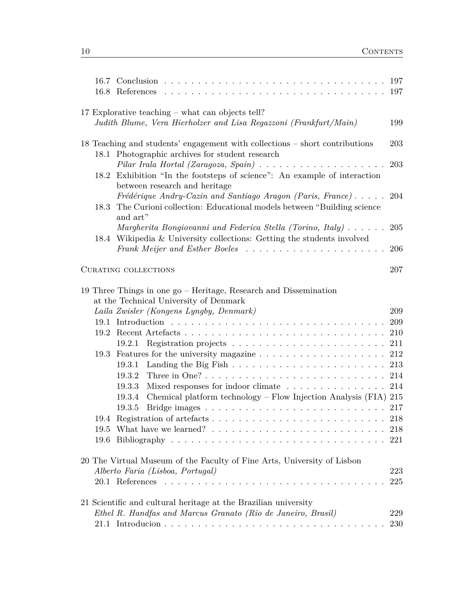|                                                                                                                                   | 16.7 | Conclusion.                                                                                                                                             |            |
|-----------------------------------------------------------------------------------------------------------------------------------|------|---------------------------------------------------------------------------------------------------------------------------------------------------------|------------|
|                                                                                                                                   |      | 17 Explorative teaching – what can objects tell?<br>Judith Blume, Vera Hierholzer and Lisa Regazzoni (Frankfurt/Main)                                   | 199        |
| 18 Teaching and students' engagement with collections - short contributions<br>Photographic archives for student research<br>18.1 |      |                                                                                                                                                         |            |
|                                                                                                                                   | 18.2 | Pilar Irala Hortal (Zaragoza, Spain) $\ldots \ldots \ldots \ldots \ldots \ldots$<br>Exhibition "In the footsteps of science": An example of interaction | 203        |
|                                                                                                                                   |      | between research and heritage<br>Frédérique Andry-Cazin and Santiago Aragon (Paris, France)                                                             | 204        |
|                                                                                                                                   | 18.3 | The Curioni collection: Educational models between "Building science<br>and art"<br>Margherita Bongiovanni and Federica Stella (Torino, Italy)          | 205        |
|                                                                                                                                   |      | 18.4 Wikipedia & University collections: Getting the students involved                                                                                  | 206        |
|                                                                                                                                   |      | CURATING COLLECTIONS                                                                                                                                    | 207        |
|                                                                                                                                   |      | 19 Three Things in one go - Heritage, Research and Dissemination<br>at the Technical University of Denmark                                              |            |
|                                                                                                                                   |      | Laila Zwisler (Kongens Lyngby, Denmark)                                                                                                                 | 209        |
|                                                                                                                                   |      |                                                                                                                                                         | 209        |
|                                                                                                                                   |      |                                                                                                                                                         | 210        |
|                                                                                                                                   |      | 19.2.1                                                                                                                                                  |            |
|                                                                                                                                   |      |                                                                                                                                                         | 212        |
|                                                                                                                                   |      | 19.3.1                                                                                                                                                  | 213        |
|                                                                                                                                   |      |                                                                                                                                                         |            |
|                                                                                                                                   |      | 19.3.2                                                                                                                                                  | 214        |
|                                                                                                                                   |      | 19.3.3<br>Mixed responses for indoor climate                                                                                                            | 214        |
|                                                                                                                                   |      | Chemical platform technology - Flow Injection Analysis (FIA) 215<br>19.3.4<br>19.3.5                                                                    |            |
|                                                                                                                                   |      | Bridge images $\ldots \ldots \ldots \ldots \ldots \ldots \ldots \ldots \ldots \ldots 217$                                                               |            |
|                                                                                                                                   |      |                                                                                                                                                         |            |
|                                                                                                                                   |      |                                                                                                                                                         |            |
|                                                                                                                                   |      |                                                                                                                                                         |            |
|                                                                                                                                   |      | 20 The Virtual Museum of the Faculty of Fine Arts, University of Lisbon<br>Alberto Faria (Lisboa, Portugal)                                             | 223        |
|                                                                                                                                   |      | $20.1$ References<br>.                                                                                                                                  | 225        |
|                                                                                                                                   |      | 21 Scientific and cultural heritage at the Brazilian university                                                                                         |            |
|                                                                                                                                   |      | Ethel R. Handfas and Marcus Granato (Rio de Janeiro, Brasil)                                                                                            | 229<br>230 |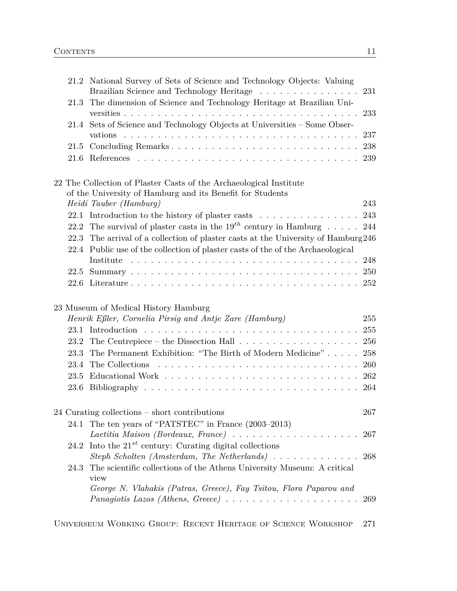|      | 21.2 National Survey of Sets of Science and Technology Objects: Valuing<br>Brazilian Science and Technology Heritage | 231 |
|------|----------------------------------------------------------------------------------------------------------------------|-----|
| 21.3 | The dimension of Science and Technology Heritage at Brazilian Uni-                                                   | 233 |
|      | 21.4 Sets of Science and Technology Objects at Universities - Some Obser-                                            | 237 |
| 21.5 |                                                                                                                      | 238 |
| 21.6 |                                                                                                                      | 239 |
|      | 22 The Collection of Plaster Casts of the Archaeological Institute                                                   |     |
|      | of the University of Hamburg and its Benefit for Students                                                            |     |
|      | Heidi Tauber (Hamburg)                                                                                               | 243 |
|      | 22.1 Introduction to the history of plaster casts                                                                    | 243 |
| 22.2 | The survival of plaster casts in the $19^{th}$ century in Hamburg                                                    | 244 |
|      | 22.3 The arrival of a collection of plaster casts at the University of Hamburg 246                                   |     |
|      | 22.4 Public use of the collection of plaster casts of the of the Archaeological                                      |     |
|      |                                                                                                                      | 248 |
| 22.5 |                                                                                                                      | 250 |
|      |                                                                                                                      |     |
|      | 23 Museum of Medical History Hamburg                                                                                 |     |
|      | Henrik Eßler, Cornelia Pirsig and Antje Zare (Hamburg)                                                               | 255 |
|      |                                                                                                                      | 255 |
|      |                                                                                                                      | 256 |
| 23.3 | The Permanent Exhibition: "The Birth of Modern Medicine"                                                             | 258 |
|      |                                                                                                                      | 260 |
|      |                                                                                                                      |     |
| 23.5 |                                                                                                                      | 262 |
|      |                                                                                                                      | 264 |
|      | 24 Curating collections - short contributions                                                                        | 267 |
| 24.1 | The ten years of "PATSTEC" in France (2003–2013)                                                                     |     |
|      | Laetitia Maison (Bordeaux, France)                                                                                   | 267 |
| 24.2 | Into the $21^{st}$ century: Curating digital collections                                                             |     |
|      | Steph Scholten (Amsterdam, The Netherlands) $\ldots \ldots \ldots \ldots$ 268                                        |     |
| 24.3 | The scientific collections of the Athens University Museum: A critical<br>view                                       |     |
|      | George N. Vlahakis (Patras, Greece), Fay Tsitou, Flora Paparou and                                                   |     |
|      | Panagiotis Lazos (Athens, Greece) $\ldots \ldots \ldots \ldots \ldots \ldots$                                        | 269 |

Universeum Working Group: Recent Heritage of Science Workshop 271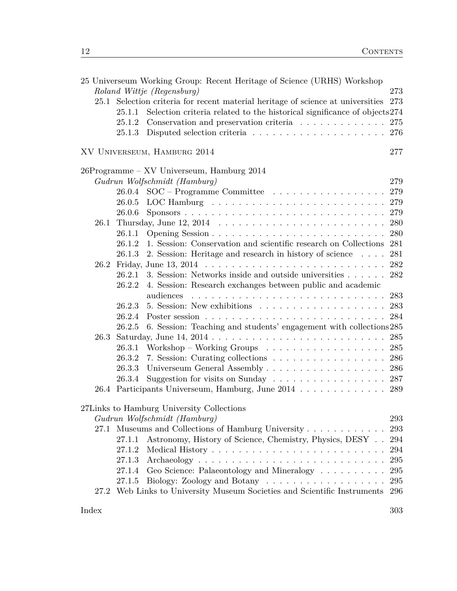|      |        | 25 Universeum Working Group: Recent Heritage of Science (URHS) Workshop         |     |
|------|--------|---------------------------------------------------------------------------------|-----|
|      |        | Roland Wittje (Regensburg)                                                      | 273 |
| 25.1 |        | Selection criteria for recent material heritage of science at universities      | 273 |
|      | 25.1.1 | Selection criteria related to the historical significance of objects 274        |     |
|      | 25.1.2 | Conservation and preservation criteria $\ldots \ldots \ldots \ldots$            | 275 |
|      | 25.1.3 |                                                                                 | 276 |
|      |        | XV UNIVERSEUM, HAMBURG 2014                                                     | 277 |
|      |        | 26Programme – XV Universeum, Hamburg 2014                                       |     |
|      |        | Gudrun Wolfschmidt (Hamburg)                                                    | 279 |
|      | 26.0.4 | $\text{SOC}$ – Programme Committee $\ldots \ldots \ldots \ldots \ldots$         | 279 |
|      |        |                                                                                 | 279 |
|      | 26.0.6 |                                                                                 | 279 |
| 26.1 |        |                                                                                 | 280 |
|      | 26.1.1 |                                                                                 | 280 |
|      | 26.1.2 | 1. Session: Conservation and scientific research on Collections                 | 281 |
|      | 26.1.3 | 2. Session: Heritage and research in history of science                         | 281 |
| 26.2 |        |                                                                                 | 282 |
|      | 26.2.1 | 3. Session: Networks inside and outside universities                            | 282 |
|      | 26.2.2 | 4. Session: Research exchanges between public and academic                      |     |
|      |        | audiences                                                                       | 283 |
|      | 26.2.3 |                                                                                 | 283 |
|      | 26.2.4 |                                                                                 | 284 |
|      | 26.2.5 | 6. Session: Teaching and students' engagement with collections 285              |     |
|      |        |                                                                                 | 285 |
|      | 26.3.1 | Workshop – Working Groups $\dots \dots \dots \dots \dots \dots$                 | 285 |
|      | 26.3.2 |                                                                                 | 286 |
|      | 26.3.3 | Universeum General Assembly 286                                                 |     |
|      | 26.3.4 | Suggestion for visits on Sunday $\ldots \ldots \ldots \ldots \ldots \ldots 287$ |     |
|      |        | 26.4 Participants Universeum, Hamburg, June 2014 289                            |     |
|      |        | 27Links to Hamburg University Collections                                       |     |
|      |        | Gudrun Wolfschmidt (Hamburg)                                                    | 293 |
|      |        | 27.1 Museums and Collections of Hamburg University                              | 293 |
|      | 27.1.1 | Astronomy, History of Science, Chemistry, Physics, DESY                         | 294 |
|      | 27.1.2 |                                                                                 | 294 |
|      | 27.1.3 |                                                                                 | 295 |
|      | 27.1.4 | Geo Science: Palaeontology and Mineralogy                                       | 295 |
|      | 27.1.5 |                                                                                 | 295 |
|      |        | 27.2 Web Links to University Museum Societies and Scientific Instruments 296    |     |